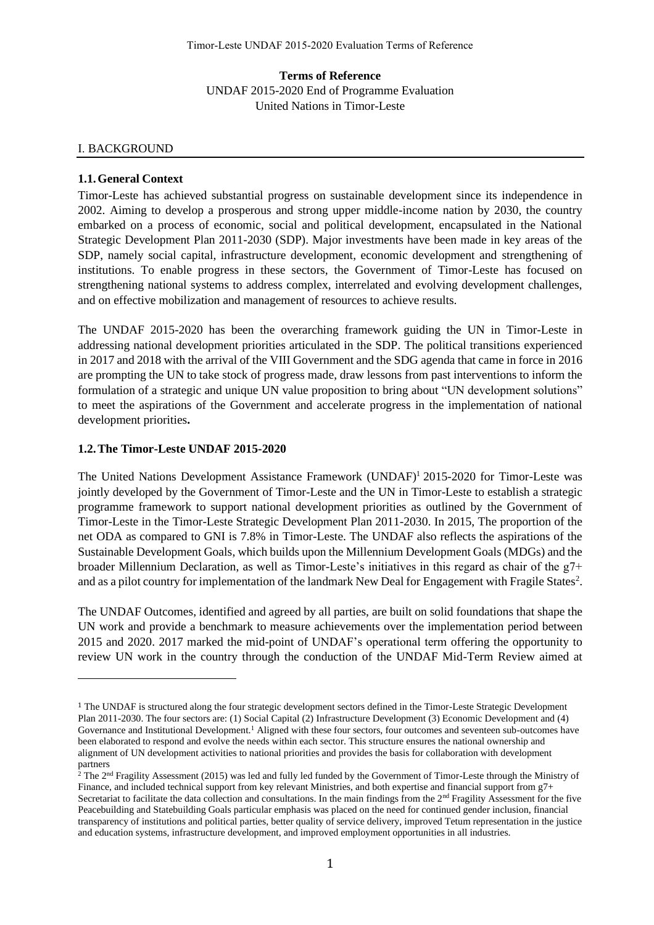**Terms of Reference** UNDAF 2015-2020 End of Programme Evaluation United Nations in Timor-Leste

#### Ⅰ. BACKGROUND

#### **1.1.General Context**

Timor-Leste has achieved substantial progress on sustainable development since its independence in 2002. Aiming to develop a prosperous and strong upper middle-income nation by 2030, the country embarked on a process of economic, social and political development, encapsulated in the National Strategic Development Plan 2011-2030 (SDP). Major investments have been made in key areas of the SDP, namely social capital, infrastructure development, economic development and strengthening of institutions. To enable progress in these sectors, the Government of Timor-Leste has focused on strengthening national systems to address complex, interrelated and evolving development challenges, and on effective mobilization and management of resources to achieve results.

The UNDAF 2015-2020 has been the overarching framework guiding the UN in Timor-Leste in addressing national development priorities articulated in the SDP. The political transitions experienced in 2017 and 2018 with the arrival of the VIII Government and the SDG agenda that came in force in 2016 are prompting the UN to take stock of progress made, draw lessons from past interventions to inform the formulation of a strategic and unique UN value proposition to bring about "UN development solutions" to meet the aspirations of the Government and accelerate progress in the implementation of national development priorities**.**

#### **1.2.The Timor-Leste UNDAF 2015-2020**

The United Nations Development Assistance Framework (UNDAF)<sup>1</sup> 2015-2020 for Timor-Leste was jointly developed by the Government of Timor-Leste and the UN in Timor-Leste to establish a strategic programme framework to support national development priorities as outlined by the Government of Timor-Leste in the Timor-Leste Strategic Development Plan 2011-2030. In 2015, The proportion of the net ODA as compared to GNI is 7.8% in Timor-Leste. The UNDAF also reflects the aspirations of the Sustainable Development Goals, which builds upon the Millennium Development Goals (MDGs) and the broader Millennium Declaration, as well as Timor-Leste's initiatives in this regard as chair of the g7+ and as a pilot country for implementation of the landmark New Deal for Engagement with Fragile States<sup>2</sup>.

The UNDAF Outcomes, identified and agreed by all parties, are built on solid foundations that shape the UN work and provide a benchmark to measure achievements over the implementation period between 2015 and 2020. 2017 marked the mid-point of UNDAF's operational term offering the opportunity to review UN work in the country through the conduction of the UNDAF Mid-Term Review aimed at

<sup>1</sup> The UNDAF is structured along the four strategic development sectors defined in the Timor-Leste Strategic Development Plan 2011-2030. The four sectors are: (1) Social Capital (2) Infrastructure Development (3) Economic Development and (4) Governance and Institutional Development.<sup>1</sup> Aligned with these four sectors, four outcomes and seventeen sub-outcomes have been elaborated to respond and evolve the needs within each sector. This structure ensures the national ownership and alignment of UN development activities to national priorities and provides the basis for collaboration with development partners

<sup>&</sup>lt;sup>2</sup> The 2<sup>nd</sup> Fragility Assessment (2015) was led and fully led funded by the Government of Timor-Leste through the Ministry of Finance, and included technical support from key relevant Ministries, and both expertise and financial support from g7+ Secretariat to facilitate the data collection and consultations. In the main findings from the  $2<sup>nd</sup>$  Fragility Assessment for the five Peacebuilding and Statebuilding Goals particular emphasis was placed on the need for continued gender inclusion, financial transparency of institutions and political parties, better quality of service delivery, improved Tetum representation in the justice and education systems, infrastructure development, and improved employment opportunities in all industries.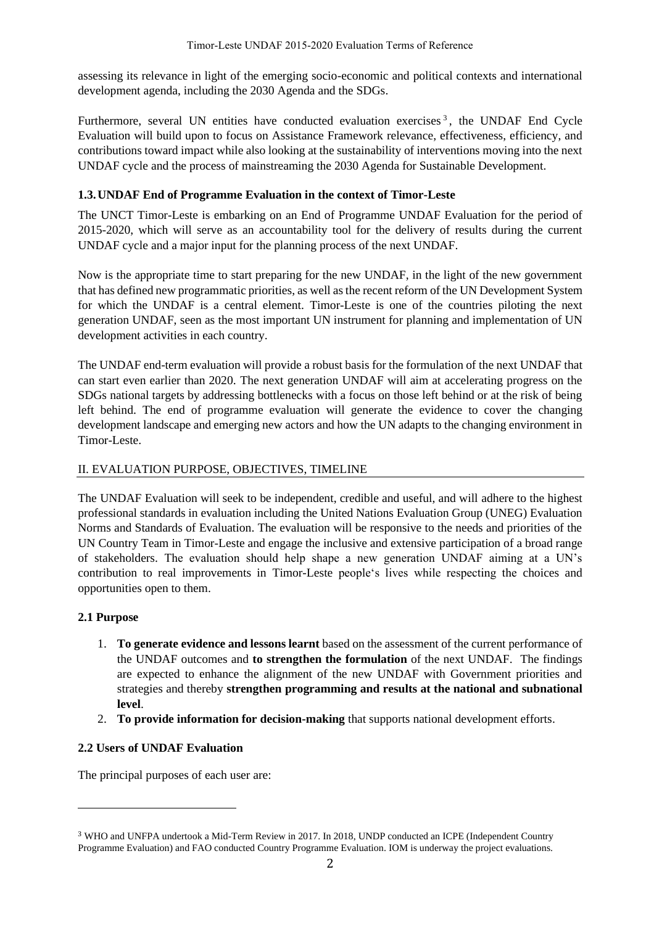assessing its relevance in light of the emerging socio-economic and political contexts and international development agenda, including the 2030 Agenda and the SDGs.

Furthermore, several UN entities have conducted evaluation exercises<sup>3</sup>, the UNDAF End Cycle Evaluation will build upon to focus on Assistance Framework relevance, effectiveness, efficiency, and contributions toward impact while also looking at the sustainability of interventions moving into the next UNDAF cycle and the process of mainstreaming the 2030 Agenda for Sustainable Development.

## **1.3.UNDAF End of Programme Evaluation in the context of Timor-Leste**

The UNCT Timor-Leste is embarking on an End of Programme UNDAF Evaluation for the period of 2015-2020, which will serve as an accountability tool for the delivery of results during the current UNDAF cycle and a major input for the planning process of the next UNDAF.

Now is the appropriate time to start preparing for the new UNDAF, in the light of the new government that has defined new programmatic priorities, as well as the recent reform of the UN Development System for which the UNDAF is a central element. Timor-Leste is one of the countries piloting the next generation UNDAF, seen as the most important UN instrument for planning and implementation of UN development activities in each country.

The UNDAF end-term evaluation will provide a robust basis for the formulation of the next UNDAF that can start even earlier than 2020. The next generation UNDAF will aim at accelerating progress on the SDGs national targets by addressing bottlenecks with a focus on those left behind or at the risk of being left behind. The end of programme evaluation will generate the evidence to cover the changing development landscape and emerging new actors and how the UN adapts to the changing environment in Timor-Leste.

## II. EVALUATION PURPOSE, OBJECTIVES, TIMELINE

The UNDAF Evaluation will seek to be independent, credible and useful, and will adhere to the highest professional standards in evaluation including the United Nations Evaluation Group (UNEG) Evaluation Norms and Standards of Evaluation. The evaluation will be responsive to the needs and priorities of the UN Country Team in Timor-Leste and engage the inclusive and extensive participation of a broad range of stakeholders. The evaluation should help shape a new generation UNDAF aiming at a UN's contribution to real improvements in Timor-Leste people's lives while respecting the choices and opportunities open to them.

## **2.1 Purpose**

- 1. **To generate evidence and lessons learnt** based on the assessment of the current performance of the UNDAF outcomes and **to strengthen the formulation** of the next UNDAF. The findings are expected to enhance the alignment of the new UNDAF with Government priorities and strategies and thereby **strengthen programming and results at the national and subnational level**.
- 2. **To provide information for decision-making** that supports national development efforts.

## **2.2 Users of UNDAF Evaluation**

The principal purposes of each user are:

<sup>3</sup> WHO and UNFPA undertook a Mid-Term Review in 2017. In 2018, UNDP conducted an ICPE (Independent Country Programme Evaluation) and FAO conducted Country Programme Evaluation. IOM is underway the project evaluations.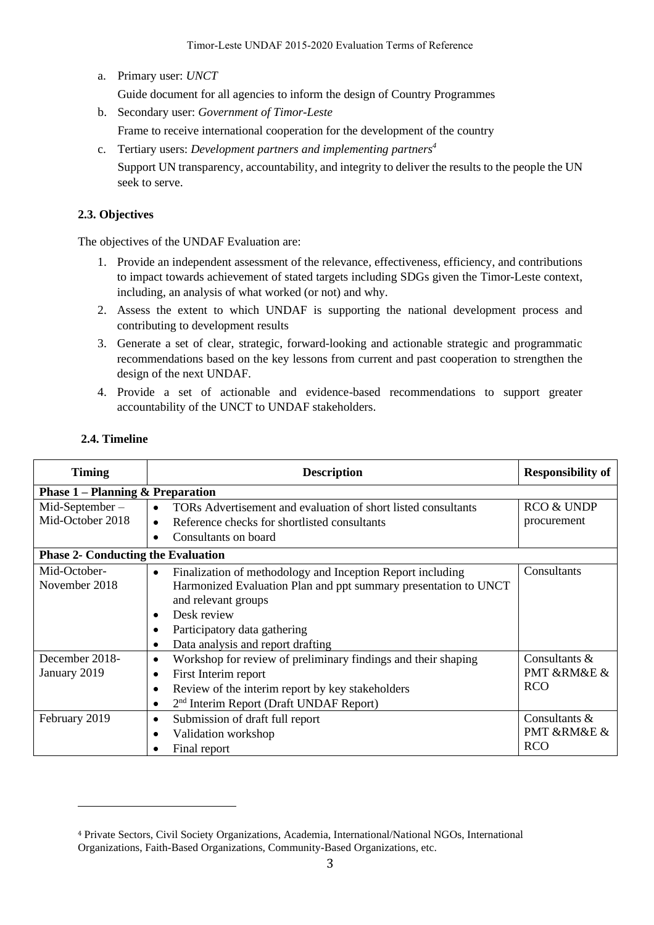a. Primary user: *UNCT*

Guide document for all agencies to inform the design of Country Programmes

- b. Secondary user: *Government of Timor-Leste* Frame to receive international cooperation for the development of the country
- c. Tertiary users: *Development partners and implementing partners 4* Support UN transparency, accountability, and integrity to deliver the results to the people the UN seek to serve.

### **2.3. Objectives**

The objectives of the UNDAF Evaluation are:

- 1. Provide an independent assessment of the relevance, effectiveness, efficiency, and contributions to impact towards achievement of stated targets including SDGs given the Timor-Leste context, including, an analysis of what worked (or not) and why.
- 2. Assess the extent to which UNDAF is supporting the national development process and contributing to development results
- 3. Generate a set of clear, strategic, forward-looking and actionable strategic and programmatic recommendations based on the key lessons from current and past cooperation to strengthen the design of the next UNDAF.
- 4. Provide a set of actionable and evidence-based recommendations to support greater accountability of the UNCT to UNDAF stakeholders.

| <b>Timing</b>                             | <b>Description</b>                                                                                                                                                                                                                                    | <b>Responsibility of</b>                      |  |  |
|-------------------------------------------|-------------------------------------------------------------------------------------------------------------------------------------------------------------------------------------------------------------------------------------------------------|-----------------------------------------------|--|--|
|                                           | <b>Phase 1 – Planning &amp; Preparation</b>                                                                                                                                                                                                           |                                               |  |  |
| $Mid-September-$<br>Mid-October 2018      | TORs Advertisement and evaluation of short listed consultants<br>Reference checks for shortlisted consultants<br>Consultants on board                                                                                                                 | <b>RCO &amp; UNDP</b><br>procurement          |  |  |
| <b>Phase 2- Conducting the Evaluation</b> |                                                                                                                                                                                                                                                       |                                               |  |  |
| Mid-October-<br>November 2018             | Finalization of methodology and Inception Report including<br>$\bullet$<br>Harmonized Evaluation Plan and ppt summary presentation to UNCT<br>and relevant groups<br>Desk review<br>Participatory data gathering<br>Data analysis and report drafting | Consultants                                   |  |  |
| December 2018-<br>January 2019            | Workshop for review of preliminary findings and their shaping<br>٠<br>First Interim report<br>$\bullet$<br>Review of the interim report by key stakeholders<br>2 <sup>nd</sup> Interim Report (Draft UNDAF Report)<br>$\bullet$                       | Consultants $\&$<br>PMT &RM&E &<br><b>RCO</b> |  |  |
| February 2019                             | Submission of draft full report<br>٠<br>Validation workshop<br>Final report                                                                                                                                                                           | Consultants &<br>PMT &RM&E &<br><b>RCO</b>    |  |  |

### **2.4. Timeline**

<sup>4</sup> Private Sectors, Civil Society Organizations, Academia, International/National NGOs, International Organizations, Faith-Based Organizations, Community-Based Organizations, etc.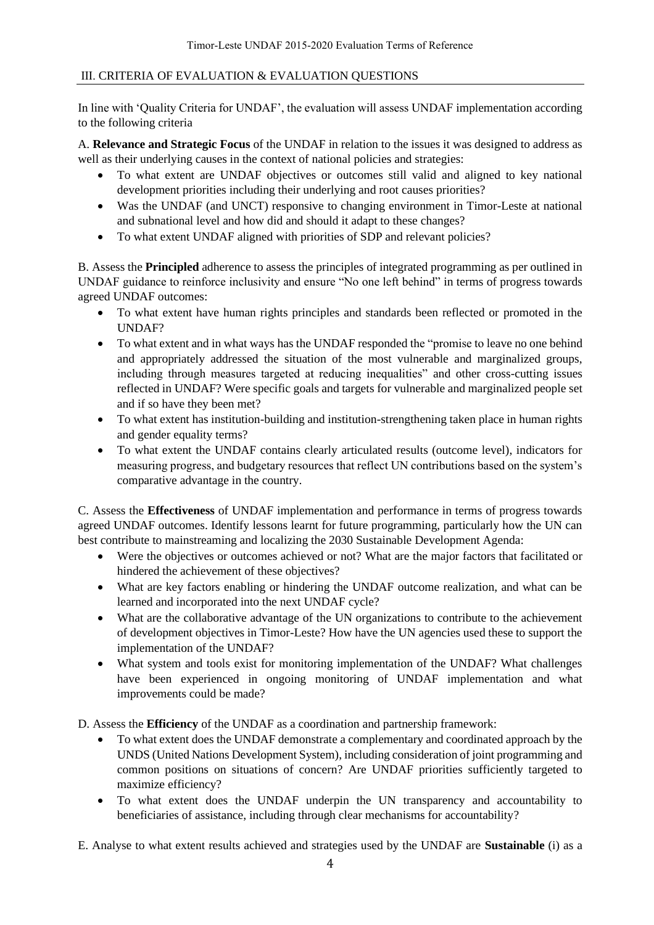## Ⅲ. CRITERIA OF EVALUATION & EVALUATION QUESTIONS

In line with 'Quality Criteria for UNDAF', the evaluation will assess UNDAF implementation according to the following criteria

A. **Relevance and Strategic Focus** of the UNDAF in relation to the issues it was designed to address as well as their underlying causes in the context of national policies and strategies:

- To what extent are UNDAF objectives or outcomes still valid and aligned to key national development priorities including their underlying and root causes priorities?
- Was the UNDAF (and UNCT) responsive to changing environment in Timor-Leste at national and subnational level and how did and should it adapt to these changes?
- To what extent UNDAF aligned with priorities of SDP and relevant policies?

B. Assess the **Principled** adherence to assess the principles of integrated programming as per outlined in UNDAF guidance to reinforce inclusivity and ensure "No one left behind" in terms of progress towards agreed UNDAF outcomes:

- To what extent have human rights principles and standards been reflected or promoted in the UNDAF?
- To what extent and in what ways has the UNDAF responded the "promise to leave no one behind and appropriately addressed the situation of the most vulnerable and marginalized groups, including through measures targeted at reducing inequalities" and other cross-cutting issues reflected in UNDAF? Were specific goals and targets for vulnerable and marginalized people set and if so have they been met?
- To what extent has institution-building and institution-strengthening taken place in human rights and gender equality terms?
- To what extent the UNDAF contains clearly articulated results (outcome level), indicators for measuring progress, and budgetary resources that reflect UN contributions based on the system's comparative advantage in the country.

C. Assess the **Effectiveness** of UNDAF implementation and performance in terms of progress towards agreed UNDAF outcomes. Identify lessons learnt for future programming, particularly how the UN can best contribute to mainstreaming and localizing the 2030 Sustainable Development Agenda:

- Were the objectives or outcomes achieved or not? What are the major factors that facilitated or hindered the achievement of these objectives?
- What are key factors enabling or hindering the UNDAF outcome realization, and what can be learned and incorporated into the next UNDAF cycle?
- What are the collaborative advantage of the UN organizations to contribute to the achievement of development objectives in Timor-Leste? How have the UN agencies used these to support the implementation of the UNDAF?
- What system and tools exist for monitoring implementation of the UNDAF? What challenges have been experienced in ongoing monitoring of UNDAF implementation and what improvements could be made?

D. Assess the **Efficiency** of the UNDAF as a coordination and partnership framework:

- To what extent does the UNDAF demonstrate a complementary and coordinated approach by the UNDS (United Nations Development System), including consideration of joint programming and common positions on situations of concern? Are UNDAF priorities sufficiently targeted to maximize efficiency?
- To what extent does the UNDAF underpin the UN transparency and accountability to beneficiaries of assistance, including through clear mechanisms for accountability?

E. Analyse to what extent results achieved and strategies used by the UNDAF are **Sustainable** (i) as a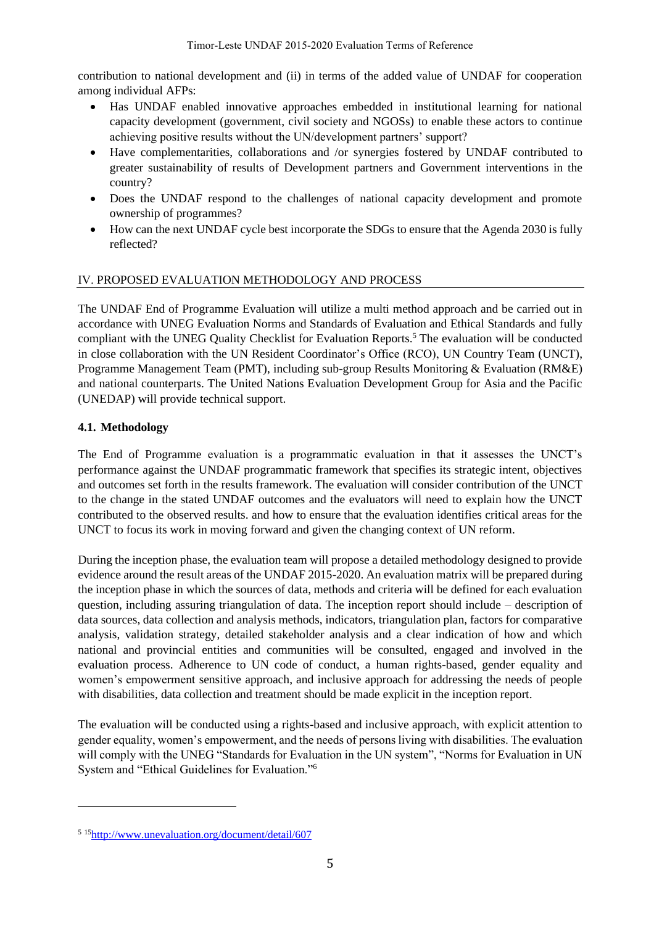contribution to national development and (ii) in terms of the added value of UNDAF for cooperation among individual AFPs:

- Has UNDAF enabled innovative approaches embedded in institutional learning for national capacity development (government, civil society and NGOSs) to enable these actors to continue achieving positive results without the UN/development partners' support?
- Have complementarities, collaborations and /or synergies fostered by UNDAF contributed to greater sustainability of results of Development partners and Government interventions in the country?
- Does the UNDAF respond to the challenges of national capacity development and promote ownership of programmes?
- How can the next UNDAF cycle best incorporate the SDGs to ensure that the Agenda 2030 is fully reflected?

## Ⅳ. PROPOSED EVALUATION METHODOLOGY AND PROCESS

The UNDAF End of Programme Evaluation will utilize a multi method approach and be carried out in accordance with UNEG Evaluation Norms and Standards of Evaluation and Ethical Standards and fully compliant with the UNEG Quality Checklist for Evaluation Reports.<sup>5</sup> The evaluation will be conducted in close collaboration with the UN Resident Coordinator's Office (RCO), UN Country Team (UNCT), Programme Management Team (PMT), including sub-group Results Monitoring & Evaluation (RM&E) and national counterparts. The United Nations Evaluation Development Group for Asia and the Pacific (UNEDAP) will provide technical support.

## **4.1. Methodology**

The End of Programme evaluation is a programmatic evaluation in that it assesses the UNCT's performance against the UNDAF programmatic framework that specifies its strategic intent, objectives and outcomes set forth in the results framework. The evaluation will consider contribution of the UNCT to the change in the stated UNDAF outcomes and the evaluators will need to explain how the UNCT contributed to the observed results. and how to ensure that the evaluation identifies critical areas for the UNCT to focus its work in moving forward and given the changing context of UN reform.

During the inception phase, the evaluation team will propose a detailed methodology designed to provide evidence around the result areas of the UNDAF 2015-2020. An evaluation matrix will be prepared during the inception phase in which the sources of data, methods and criteria will be defined for each evaluation question, including assuring triangulation of data. The inception report should include – description of data sources, data collection and analysis methods, indicators, triangulation plan, factors for comparative analysis, validation strategy, detailed stakeholder analysis and a clear indication of how and which national and provincial entities and communities will be consulted, engaged and involved in the evaluation process. Adherence to UN code of conduct, a human rights-based, gender equality and women's empowerment sensitive approach, and inclusive approach for addressing the needs of people with disabilities, data collection and treatment should be made explicit in the inception report.

The evaluation will be conducted using a rights-based and inclusive approach, with explicit attention to gender equality, women's empowerment, and the needs of persons living with disabilities. The evaluation will comply with the UNEG "Standards for Evaluation in the UN system", "Norms for Evaluation in UN System and "Ethical Guidelines for Evaluation."<sup>6</sup>

<sup>5</sup> <sup>15</sup><http://www.unevaluation.org/document/detail/607>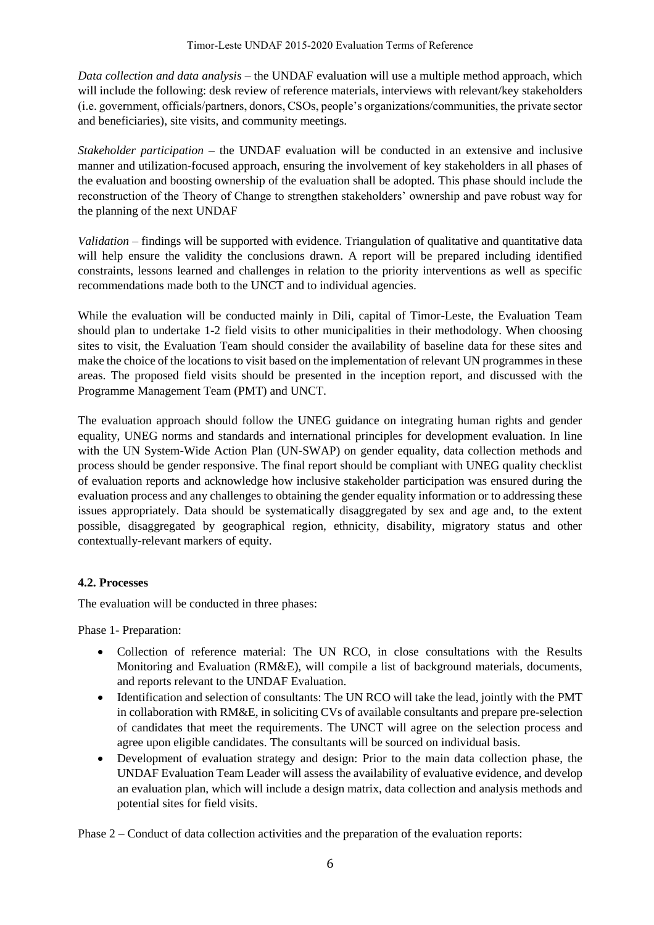*Data collection and data analysis* – the UNDAF evaluation will use a multiple method approach, which will include the following: desk review of reference materials, interviews with relevant/key stakeholders (i.e. government, officials/partners, donors, CSOs, people's organizations/communities, the private sector and beneficiaries), site visits, and community meetings.

*Stakeholder participation* – the UNDAF evaluation will be conducted in an extensive and inclusive manner and utilization-focused approach, ensuring the involvement of key stakeholders in all phases of the evaluation and boosting ownership of the evaluation shall be adopted. This phase should include the reconstruction of the Theory of Change to strengthen stakeholders' ownership and pave robust way for the planning of the next UNDAF

*Validation* – findings will be supported with evidence. Triangulation of qualitative and quantitative data will help ensure the validity the conclusions drawn. A report will be prepared including identified constraints, lessons learned and challenges in relation to the priority interventions as well as specific recommendations made both to the UNCT and to individual agencies.

While the evaluation will be conducted mainly in Dili, capital of Timor-Leste, the Evaluation Team should plan to undertake 1-2 field visits to other municipalities in their methodology. When choosing sites to visit, the Evaluation Team should consider the availability of baseline data for these sites and make the choice of the locations to visit based on the implementation of relevant UN programmes in these areas. The proposed field visits should be presented in the inception report, and discussed with the Programme Management Team (PMT) and UNCT.

The evaluation approach should follow the UNEG guidance on integrating human rights and gender equality, UNEG norms and standards and international principles for development evaluation. In line with the UN System-Wide Action Plan (UN-SWAP) on gender equality, data collection methods and process should be gender responsive. The final report should be compliant with UNEG quality checklist of evaluation reports and acknowledge how inclusive stakeholder participation was ensured during the evaluation process and any challenges to obtaining the gender equality information or to addressing these issues appropriately. Data should be systematically disaggregated by sex and age and, to the extent possible, disaggregated by geographical region, ethnicity, disability, migratory status and other contextually-relevant markers of equity.

# **4.2. Processes**

The evaluation will be conducted in three phases:

Phase 1- Preparation:

- Collection of reference material: The UN RCO, in close consultations with the Results Monitoring and Evaluation (RM&E), will compile a list of background materials, documents, and reports relevant to the UNDAF Evaluation.
- Identification and selection of consultants: The UN RCO will take the lead, jointly with the PMT in collaboration with RM&E, in soliciting CVs of available consultants and prepare pre-selection of candidates that meet the requirements. The UNCT will agree on the selection process and agree upon eligible candidates. The consultants will be sourced on individual basis.
- Development of evaluation strategy and design: Prior to the main data collection phase, the UNDAF Evaluation Team Leader will assess the availability of evaluative evidence, and develop an evaluation plan, which will include a design matrix, data collection and analysis methods and potential sites for field visits.

Phase 2 – Conduct of data collection activities and the preparation of the evaluation reports: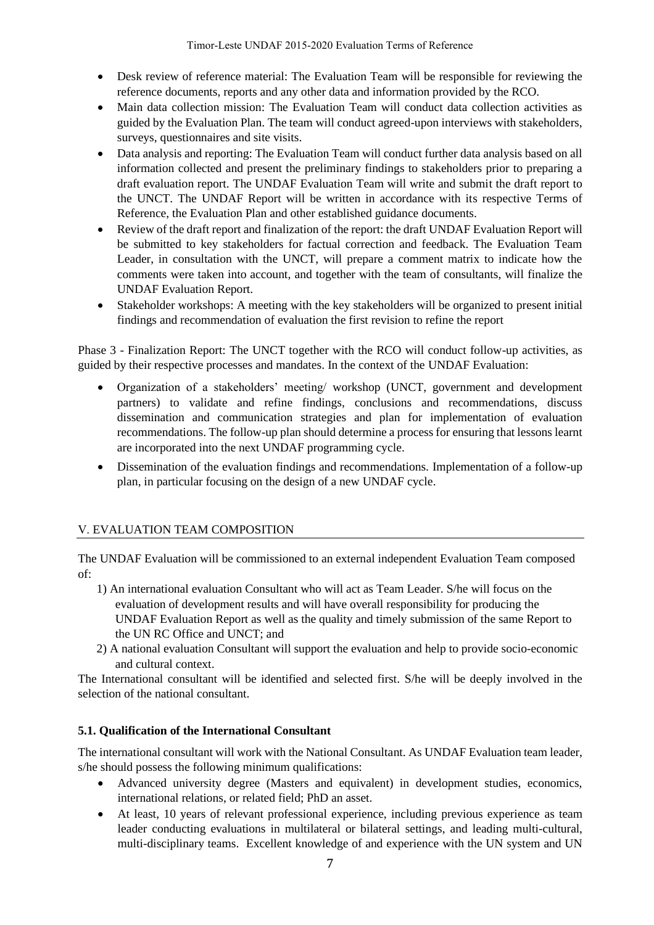- Desk review of reference material: The Evaluation Team will be responsible for reviewing the reference documents, reports and any other data and information provided by the RCO.
- Main data collection mission: The Evaluation Team will conduct data collection activities as guided by the Evaluation Plan. The team will conduct agreed-upon interviews with stakeholders, surveys, questionnaires and site visits.
- Data analysis and reporting: The Evaluation Team will conduct further data analysis based on all information collected and present the preliminary findings to stakeholders prior to preparing a draft evaluation report. The UNDAF Evaluation Team will write and submit the draft report to the UNCT. The UNDAF Report will be written in accordance with its respective Terms of Reference, the Evaluation Plan and other established guidance documents.
- Review of the draft report and finalization of the report: the draft UNDAF Evaluation Report will be submitted to key stakeholders for factual correction and feedback. The Evaluation Team Leader, in consultation with the UNCT, will prepare a comment matrix to indicate how the comments were taken into account, and together with the team of consultants, will finalize the UNDAF Evaluation Report.
- Stakeholder workshops: A meeting with the key stakeholders will be organized to present initial findings and recommendation of evaluation the first revision to refine the report

Phase 3 - Finalization Report: The UNCT together with the RCO will conduct follow-up activities, as guided by their respective processes and mandates. In the context of the UNDAF Evaluation:

- Organization of a stakeholders' meeting/ workshop (UNCT, government and development partners) to validate and refine findings, conclusions and recommendations, discuss dissemination and communication strategies and plan for implementation of evaluation recommendations. The follow-up plan should determine a process for ensuring that lessons learnt are incorporated into the next UNDAF programming cycle.
- Dissemination of the evaluation findings and recommendations. Implementation of a follow-up plan, in particular focusing on the design of a new UNDAF cycle.

# Ⅴ. EVALUATION TEAM COMPOSITION

The UNDAF Evaluation will be commissioned to an external independent Evaluation Team composed of:

- 1) An international evaluation Consultant who will act as Team Leader. S/he will focus on the evaluation of development results and will have overall responsibility for producing the UNDAF Evaluation Report as well as the quality and timely submission of the same Report to the UN RC Office and UNCT; and
- 2) A national evaluation Consultant will support the evaluation and help to provide socio-economic and cultural context.

The International consultant will be identified and selected first. S/he will be deeply involved in the selection of the national consultant.

## **5.1. Qualification of the International Consultant**

The international consultant will work with the National Consultant. As UNDAF Evaluation team leader, s/he should possess the following minimum qualifications:

- Advanced university degree (Masters and equivalent) in development studies, economics, international relations, or related field; PhD an asset.
- At least, 10 years of relevant professional experience, including previous experience as team leader conducting evaluations in multilateral or bilateral settings, and leading multi-cultural, multi-disciplinary teams. Excellent knowledge of and experience with the UN system and UN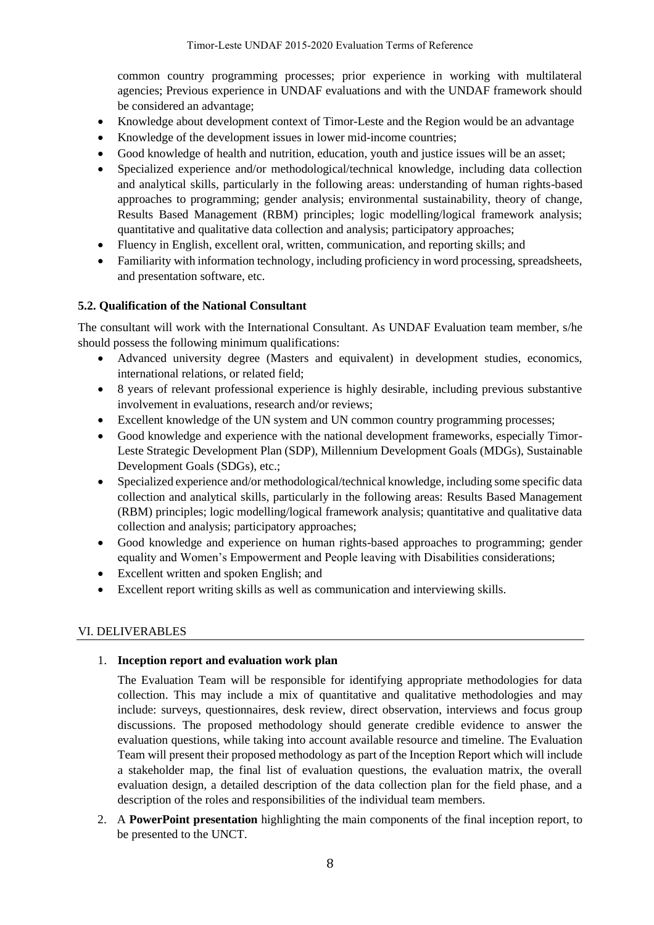common country programming processes; prior experience in working with multilateral agencies; Previous experience in UNDAF evaluations and with the UNDAF framework should be considered an advantage;

- Knowledge about development context of Timor-Leste and the Region would be an advantage
- Knowledge of the development issues in lower mid-income countries;
- Good knowledge of health and nutrition, education, youth and justice issues will be an asset;
- Specialized experience and/or methodological/technical knowledge, including data collection and analytical skills, particularly in the following areas: understanding of human rights-based approaches to programming; gender analysis; environmental sustainability, theory of change, Results Based Management (RBM) principles; logic modelling/logical framework analysis; quantitative and qualitative data collection and analysis; participatory approaches;
- Fluency in English, excellent oral, written, communication, and reporting skills; and
- Familiarity with information technology, including proficiency in word processing, spreadsheets, and presentation software, etc.

## **5.2. Qualification of the National Consultant**

The consultant will work with the International Consultant. As UNDAF Evaluation team member, s/he should possess the following minimum qualifications:

- Advanced university degree (Masters and equivalent) in development studies, economics, international relations, or related field;
- 8 years of relevant professional experience is highly desirable, including previous substantive involvement in evaluations, research and/or reviews;
- Excellent knowledge of the UN system and UN common country programming processes;
- Good knowledge and experience with the national development frameworks, especially Timor-Leste Strategic Development Plan (SDP), Millennium Development Goals (MDGs), Sustainable Development Goals (SDGs), etc.;
- Specialized experience and/or methodological/technical knowledge, including some specific data collection and analytical skills, particularly in the following areas: Results Based Management (RBM) principles; logic modelling/logical framework analysis; quantitative and qualitative data collection and analysis; participatory approaches;
- Good knowledge and experience on human rights-based approaches to programming; gender equality and Women's Empowerment and People leaving with Disabilities considerations;
- Excellent written and spoken English; and
- Excellent report writing skills as well as communication and interviewing skills.

## Ⅵ. DELIVERABLES

## 1. **Inception report and evaluation work plan**

The Evaluation Team will be responsible for identifying appropriate methodologies for data collection. This may include a mix of quantitative and qualitative methodologies and may include: surveys, questionnaires, desk review, direct observation, interviews and focus group discussions. The proposed methodology should generate credible evidence to answer the evaluation questions, while taking into account available resource and timeline. The Evaluation Team will present their proposed methodology as part of the Inception Report which will include a stakeholder map, the final list of evaluation questions, the evaluation matrix, the overall evaluation design, a detailed description of the data collection plan for the field phase, and a description of the roles and responsibilities of the individual team members.

2. A **PowerPoint presentation** highlighting the main components of the final inception report, to be presented to the UNCT.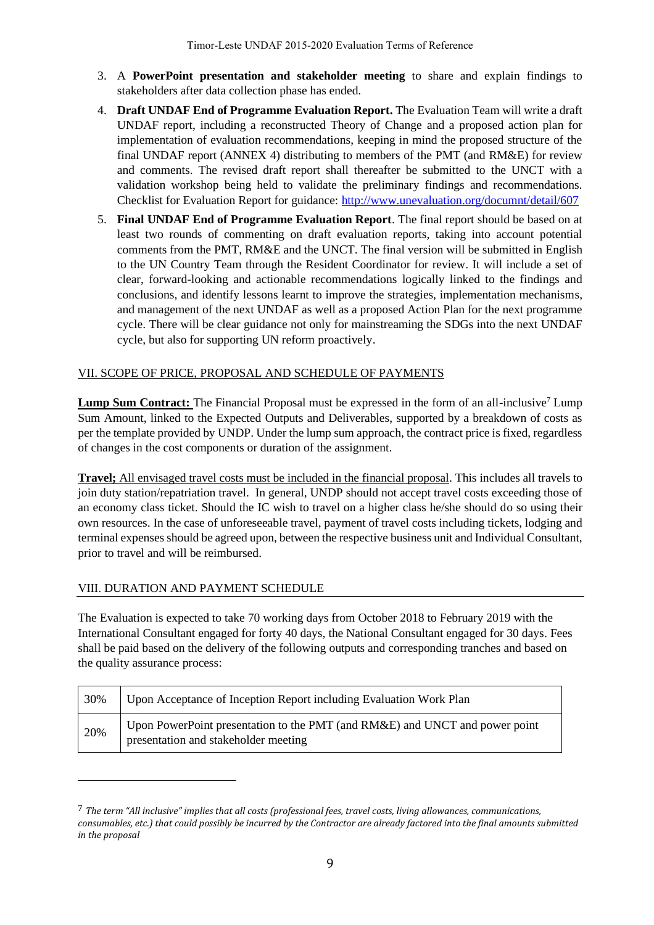- 3. A **PowerPoint presentation and stakeholder meeting** to share and explain findings to stakeholders after data collection phase has ended.
- 4. **Draft UNDAF End of Programme Evaluation Report.** The Evaluation Team will write a draft UNDAF report, including a reconstructed Theory of Change and a proposed action plan for implementation of evaluation recommendations, keeping in mind the proposed structure of the final UNDAF report (ANNEX 4) distributing to members of the PMT (and RM&E) for review and comments. The revised draft report shall thereafter be submitted to the UNCT with a validation workshop being held to validate the preliminary findings and recommendations. Checklist for Evaluation Report for guidance:<http://www.unevaluation.org/documnt/detail/607>
- 5. **Final UNDAF End of Programme Evaluation Report**. The final report should be based on at least two rounds of commenting on draft evaluation reports, taking into account potential comments from the PMT, RM&E and the UNCT. The final version will be submitted in English to the UN Country Team through the Resident Coordinator for review. It will include a set of clear, forward-looking and actionable recommendations logically linked to the findings and conclusions, and identify lessons learnt to improve the strategies, implementation mechanisms, and management of the next UNDAF as well as a proposed Action Plan for the next programme cycle. There will be clear guidance not only for mainstreaming the SDGs into the next UNDAF cycle, but also for supporting UN reform proactively.

## VII. SCOPE OF PRICE, PROPOSAL AND SCHEDULE OF PAYMENTS

**Lump Sum Contract:** The Financial Proposal must be expressed in the form of an all-inclusive<sup>7</sup> Lump Sum Amount, linked to the Expected Outputs and Deliverables, supported by a breakdown of costs as per the template provided by UNDP. Under the lump sum approach, the contract price is fixed, regardless of changes in the cost components or duration of the assignment.

**Travel;** All envisaged travel costs must be included in the financial proposal. This includes all travels to join duty station/repatriation travel. In general, UNDP should not accept travel costs exceeding those of an economy class ticket. Should the IC wish to travel on a higher class he/she should do so using their own resources. In the case of unforeseeable travel, payment of travel costs including tickets, lodging and terminal expenses should be agreed upon, between the respective business unit and Individual Consultant, prior to travel and will be reimbursed.

## Ⅷ. DURATION AND PAYMENT SCHEDULE

The Evaluation is expected to take 70 working days from October 2018 to February 2019 with the International Consultant engaged for forty 40 days, the National Consultant engaged for 30 days. Fees shall be paid based on the delivery of the following outputs and corresponding tranches and based on the quality assurance process:

| 30% | Upon Acceptance of Inception Report including Evaluation Work Plan                                                  |
|-----|---------------------------------------------------------------------------------------------------------------------|
| 20% | Upon PowerPoint presentation to the PMT (and RM&E) and UNCT and power point<br>presentation and stakeholder meeting |

<sup>7</sup> *The term "All inclusive" implies that all costs (professional fees, travel costs, living allowances, communications, consumables, etc.) that could possibly be incurred by the Contractor are already factored into the final amounts submitted in the proposal*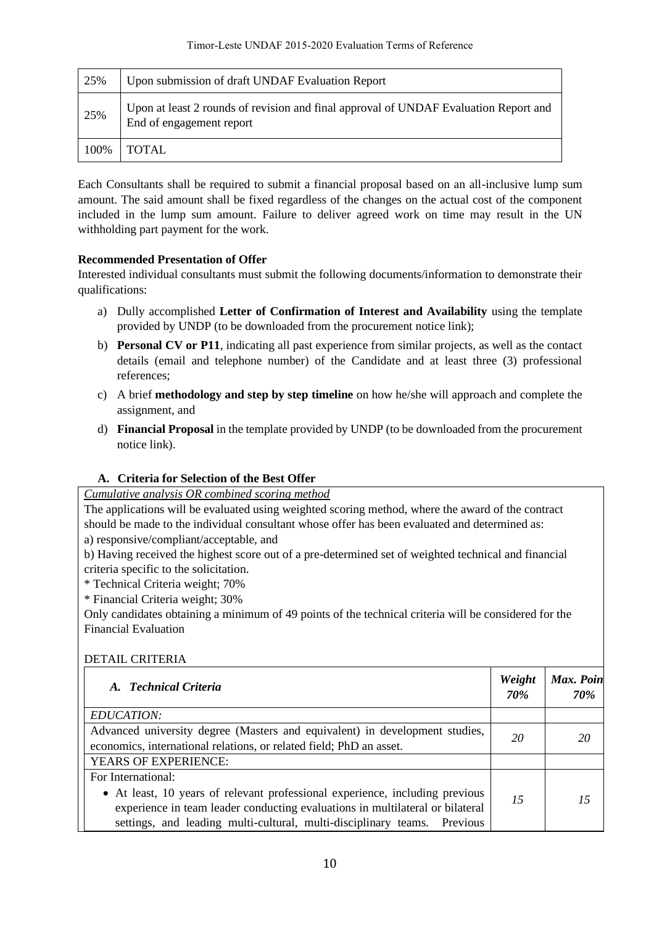| 25%  | Upon submission of draft UNDAF Evaluation Report                                                                 |
|------|------------------------------------------------------------------------------------------------------------------|
| 25%  | Upon at least 2 rounds of revision and final approval of UNDAF Evaluation Report and<br>End of engagement report |
| 100% | <b>TOTAL</b>                                                                                                     |

Each Consultants shall be required to submit a financial proposal based on an all-inclusive lump sum amount. The said amount shall be fixed regardless of the changes on the actual cost of the component included in the lump sum amount. Failure to deliver agreed work on time may result in the UN withholding part payment for the work.

# **Recommended Presentation of Offer**

Interested individual consultants must submit the following documents/information to demonstrate their qualifications:

- a) Dully accomplished **Letter of Confirmation of Interest and Availability** using the template provided by UNDP (to be downloaded from the procurement notice link);
- b) **Personal CV or P11**, indicating all past experience from similar projects, as well as the contact details (email and telephone number) of the Candidate and at least three (3) professional references;
- c) A brief **methodology and step by step timeline** on how he/she will approach and complete the assignment, and
- d) **Financial Proposal** in the template provided by UNDP (to be downloaded from the procurement notice link).

# **A. Criteria for Selection of the Best Offer**

*Cumulative analysis OR combined scoring method*

The applications will be evaluated using weighted scoring method, where the award of the contract should be made to the individual consultant whose offer has been evaluated and determined as:

a) responsive/compliant/acceptable, and

b) Having received the highest score out of a pre-determined set of weighted technical and financial criteria specific to the solicitation.

\* Technical Criteria weight; 70%

\* Financial Criteria weight; 30%

Only candidates obtaining a minimum of 49 points of the technical criteria will be considered for the Financial Evaluation

# DETAIL CRITERIA

| A. Technical Criteria                                                                                                                                                                                                                           |  | Max. Poin<br>70% |
|-------------------------------------------------------------------------------------------------------------------------------------------------------------------------------------------------------------------------------------------------|--|------------------|
| EDUCATION:                                                                                                                                                                                                                                      |  |                  |
| Advanced university degree (Masters and equivalent) in development studies,<br>economics, international relations, or related field; PhD an asset.                                                                                              |  | 20               |
| <b>YEARS OF EXPERIENCE:</b>                                                                                                                                                                                                                     |  |                  |
| For International:                                                                                                                                                                                                                              |  |                  |
| • At least, 10 years of relevant professional experience, including previous<br>15<br>experience in team leader conducting evaluations in multilateral or bilateral<br>settings, and leading multi-cultural, multi-disciplinary teams. Previous |  | 15               |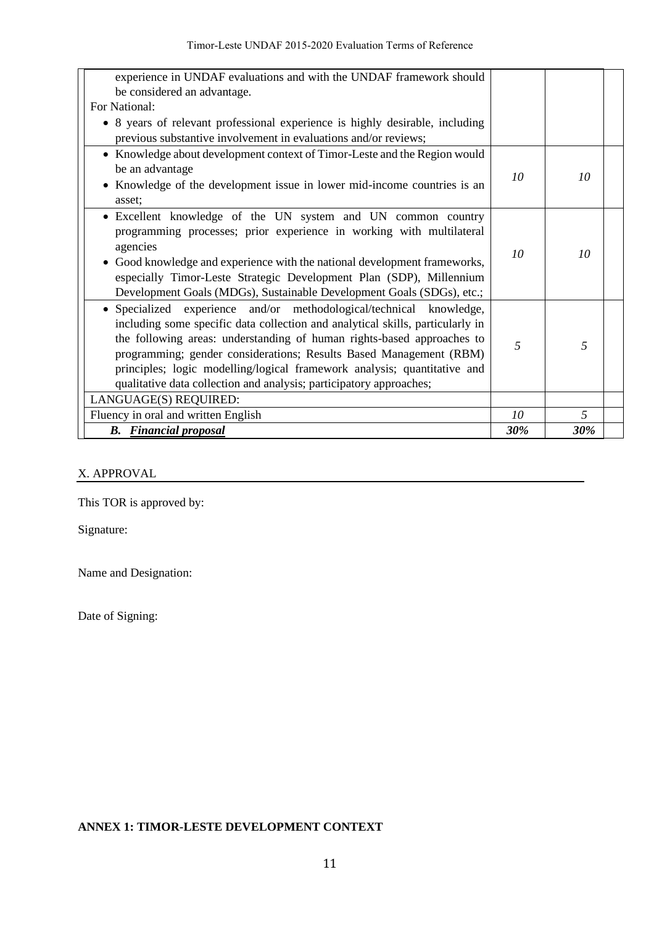| experience in UNDAF evaluations and with the UNDAF framework should<br>be considered an advantage.                                              |    |     |
|-------------------------------------------------------------------------------------------------------------------------------------------------|----|-----|
| For National:                                                                                                                                   |    |     |
| • 8 years of relevant professional experience is highly desirable, including<br>previous substantive involvement in evaluations and/or reviews; |    |     |
| • Knowledge about development context of Timor-Leste and the Region would                                                                       |    |     |
| be an advantage                                                                                                                                 | 10 | 10  |
| • Knowledge of the development issue in lower mid-income countries is an                                                                        |    |     |
| asset:                                                                                                                                          |    |     |
| · Excellent knowledge of the UN system and UN common country                                                                                    |    |     |
| programming processes; prior experience in working with multilateral                                                                            |    |     |
| agencies                                                                                                                                        | 10 | 10  |
| • Good knowledge and experience with the national development frameworks,                                                                       |    |     |
| especially Timor-Leste Strategic Development Plan (SDP), Millennium                                                                             |    |     |
| Development Goals (MDGs), Sustainable Development Goals (SDGs), etc.;                                                                           |    |     |
| • Specialized experience and/or methodological/technical knowledge,                                                                             |    |     |
| including some specific data collection and analytical skills, particularly in                                                                  |    |     |
| the following areas: understanding of human rights-based approaches to                                                                          | 5  | 5   |
| programming; gender considerations; Results Based Management (RBM)                                                                              |    |     |
| principles; logic modelling/logical framework analysis; quantitative and                                                                        |    |     |
| qualitative data collection and analysis; participatory approaches;                                                                             |    |     |
| LANGUAGE(S) REQUIRED:                                                                                                                           |    |     |
| Fluency in oral and written English                                                                                                             |    | 5   |
| <b>B.</b> Financial proposal                                                                                                                    |    | 30% |

## X. APPROVAL

This TOR is approved by:

Signature:

Name and Designation:

Date of Signing:

# **ANNEX 1: TIMOR-LESTE DEVELOPMENT CONTEXT**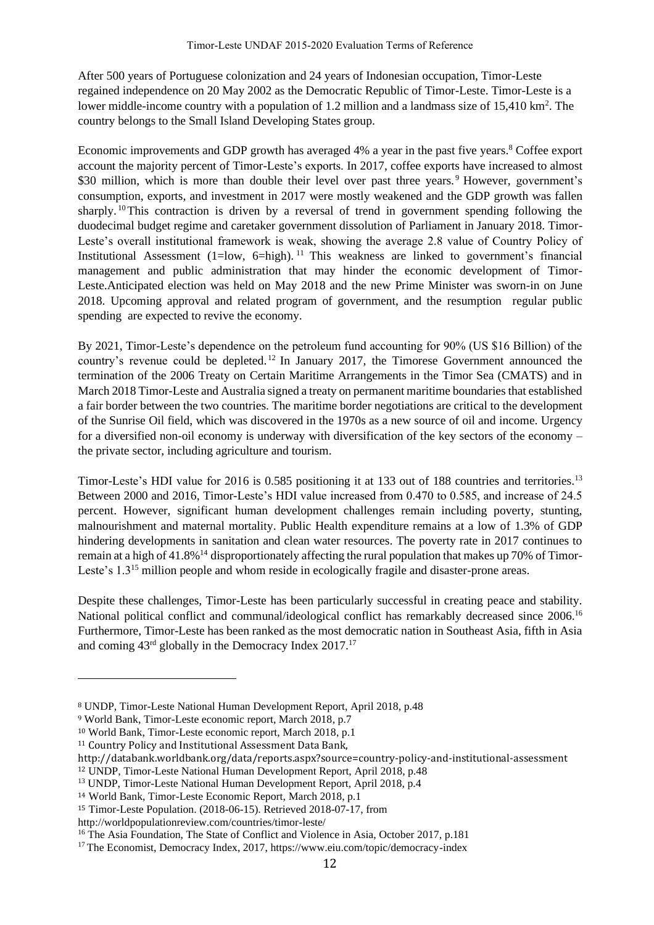After 500 years of Portuguese colonization and 24 years of Indonesian occupation, Timor-Leste regained independence on 20 May 2002 as the Democratic Republic of Timor-Leste. Timor-Leste is a lower middle-income country with a population of 1.2 million and a landmass size of  $15,410 \text{ km}^2$ . The country belongs to the Small Island Developing States group.

Economic improvements and GDP growth has averaged 4% a year in the past five years.<sup>8</sup> Coffee export account the majority percent of Timor-Leste's exports. In 2017, coffee exports have increased to almost \$30 million, which is more than double their level over past three years.<sup>9</sup> However, government's consumption, exports, and investment in 2017 were mostly weakened and the GDP growth was fallen sharply. <sup>10</sup>This contraction is driven by a reversal of trend in government spending following the duodecimal budget regime and caretaker government dissolution of Parliament in January 2018. Timor-Leste's overall institutional framework is weak, showing the average 2.8 value of Country Policy of Institutional Assessment (1=low, 6=high). <sup>11</sup> This weakness are linked to government's financial management and public administration that may hinder the economic development of Timor-Leste.Anticipated election was held on May 2018 and the new Prime Minister was sworn-in on June 2018. Upcoming approval and related program of government, and the resumption regular public spending are expected to revive the economy.

By 2021, Timor-Leste's dependence on the petroleum fund accounting for 90% (US \$16 Billion) of the country's revenue could be depleted.<sup>12</sup> In January 2017, the Timorese Government announced the termination of the 2006 Treaty on Certain Maritime Arrangements in the Timor Sea (CMATS) and in March 2018 Timor-Leste and Australia signed a treaty on permanent maritime boundaries that established a fair border between the two countries. The maritime border negotiations are critical to the development of the Sunrise Oil field, which was discovered in the 1970s as a new source of oil and income. Urgency for a diversified non-oil economy is underway with diversification of the key sectors of the economy – the private sector, including agriculture and tourism.

Timor-Leste's HDI value for 2016 is 0.585 positioning it at 133 out of 188 countries and territories.<sup>13</sup> Between 2000 and 2016, Timor-Leste's HDI value increased from 0.470 to 0.585, and increase of 24.5 percent. However, significant human development challenges remain including poverty, stunting, malnourishment and maternal mortality. Public Health expenditure remains at a low of 1.3% of GDP hindering developments in sanitation and clean water resources. The poverty rate in 2017 continues to remain at a high of 41.8%<sup>14</sup> disproportionately affecting the rural population that makes up 70% of Timor-Leste's 1.3<sup>15</sup> million people and whom reside in ecologically fragile and disaster-prone areas.

Despite these challenges, Timor-Leste has been particularly successful in creating peace and stability. National political conflict and communal/ideological conflict has remarkably decreased since 2006.<sup>16</sup> Furthermore, Timor-Leste has been ranked as the most democratic nation in Southeast Asia, fifth in Asia and coming 43rd globally in the Democracy Index 2017.<sup>17</sup>

<sup>8</sup> UNDP, Timor-Leste National Human Development Report, April 2018, p.48

<sup>9</sup> World Bank, Timor-Leste economic report, March 2018, p.7

<sup>10</sup> World Bank, Timor-Leste economic report, March 2018, p.1

<sup>11</sup> Country Policy and Institutional Assessment Data Bank,

http://databank.worldbank.org/data/reports.aspx?source=country-policy-and-institutional-assessment

<sup>12</sup> UNDP, Timor-Leste National Human Development Report, April 2018, p.48

<sup>13</sup> UNDP, Timor-Leste National Human Development Report, April 2018, p.4

<sup>14</sup> World Bank, Timor-Leste Economic Report, March 2018, p.1

<sup>15</sup> Timor-Leste Population. (2018-06-15). Retrieved 2018-07-17, from

http://worldpopulationreview.com/countries/timor-leste/

<sup>&</sup>lt;sup>16</sup> The Asia Foundation, The State of Conflict and Violence in Asia, October 2017, p.181

<sup>17</sup> The Economist, Democracy Index, 2017, https://www.eiu.com/topic/democracy-index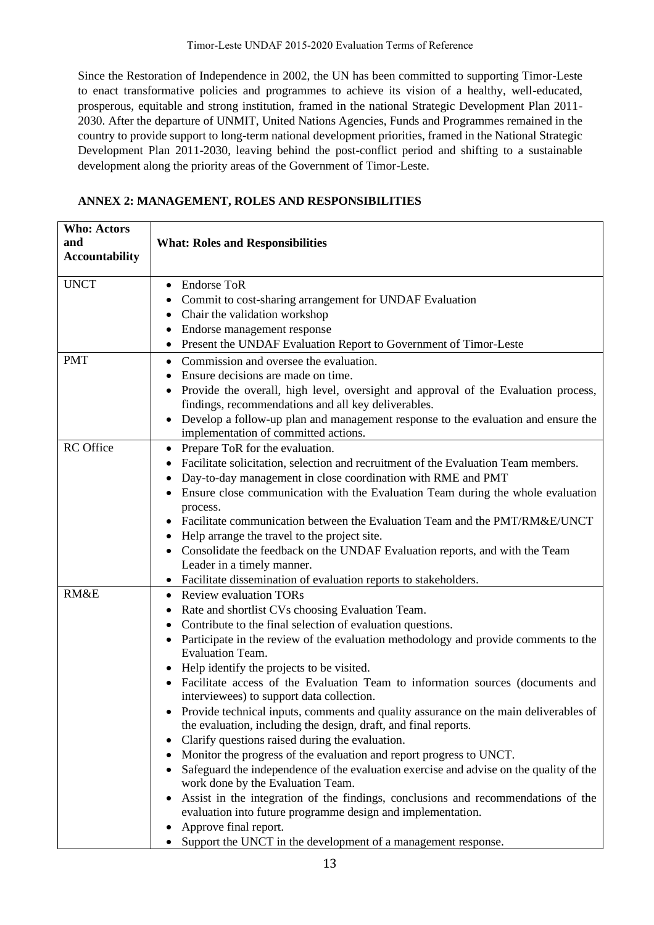Since the Restoration of Independence in 2002, the UN has been committed to supporting Timor-Leste to enact transformative policies and programmes to achieve its vision of a healthy, well-educated, prosperous, equitable and strong institution, framed in the national Strategic Development Plan 2011- 2030. After the departure of UNMIT, United Nations Agencies, Funds and Programmes remained in the country to provide support to long-term national development priorities, framed in the National Strategic Development Plan 2011-2030, leaving behind the post-conflict period and shifting to a sustainable development along the priority areas of the Government of Timor-Leste.

| ANNEX 2: MANAGEMENT, ROLES AND RESPONSIBILITIES |
|-------------------------------------------------|
|-------------------------------------------------|

| <b>Who: Actors</b>    |                                                                                         |
|-----------------------|-----------------------------------------------------------------------------------------|
| and                   | <b>What: Roles and Responsibilities</b>                                                 |
| <b>Accountability</b> |                                                                                         |
|                       |                                                                                         |
| <b>UNCT</b>           | <b>Endorse ToR</b><br>$\bullet$                                                         |
|                       | Commit to cost-sharing arrangement for UNDAF Evaluation<br>٠                            |
|                       | Chair the validation workshop                                                           |
|                       | Endorse management response                                                             |
|                       | Present the UNDAF Evaluation Report to Government of Timor-Leste<br>$\bullet$           |
| <b>PMT</b>            | Commission and oversee the evaluation.<br>٠                                             |
|                       | Ensure decisions are made on time.                                                      |
|                       | Provide the overall, high level, oversight and approval of the Evaluation process,<br>٠ |
|                       | findings, recommendations and all key deliverables.                                     |
|                       | Develop a follow-up plan and management response to the evaluation and ensure the       |
|                       | implementation of committed actions.                                                    |
| <b>RC</b> Office      | Prepare ToR for the evaluation.<br>$\bullet$                                            |
|                       | Facilitate solicitation, selection and recruitment of the Evaluation Team members.      |
|                       | Day-to-day management in close coordination with RME and PMT                            |
|                       | Ensure close communication with the Evaluation Team during the whole evaluation         |
|                       | process.                                                                                |
|                       | Facilitate communication between the Evaluation Team and the PMT/RM&E/UNCT              |
|                       | Help arrange the travel to the project site.                                            |
|                       | Consolidate the feedback on the UNDAF Evaluation reports, and with the Team             |
|                       | Leader in a timely manner.                                                              |
|                       | Facilitate dissemination of evaluation reports to stakeholders.<br>٠                    |
| RM&E                  | <b>Review evaluation TORs</b><br>٠                                                      |
|                       | Rate and shortlist CVs choosing Evaluation Team.<br>٠                                   |
|                       | Contribute to the final selection of evaluation questions.                              |
|                       | Participate in the review of the evaluation methodology and provide comments to the     |
|                       | <b>Evaluation Team.</b>                                                                 |
|                       | Help identify the projects to be visited.                                               |
|                       | Facilitate access of the Evaluation Team to information sources (documents and          |
|                       | interviewees) to support data collection.                                               |
|                       | Provide technical inputs, comments and quality assurance on the main deliverables of    |
|                       | the evaluation, including the design, draft, and final reports.                         |
|                       | Clarify questions raised during the evaluation.<br>٠                                    |
|                       | Monitor the progress of the evaluation and report progress to UNCT.<br>٠                |
|                       | Safeguard the independence of the evaluation exercise and advise on the quality of the  |
|                       | work done by the Evaluation Team.                                                       |
|                       | Assist in the integration of the findings, conclusions and recommendations of the       |
|                       | evaluation into future programme design and implementation.                             |
|                       | Approve final report.                                                                   |
|                       | Support the UNCT in the development of a management response.                           |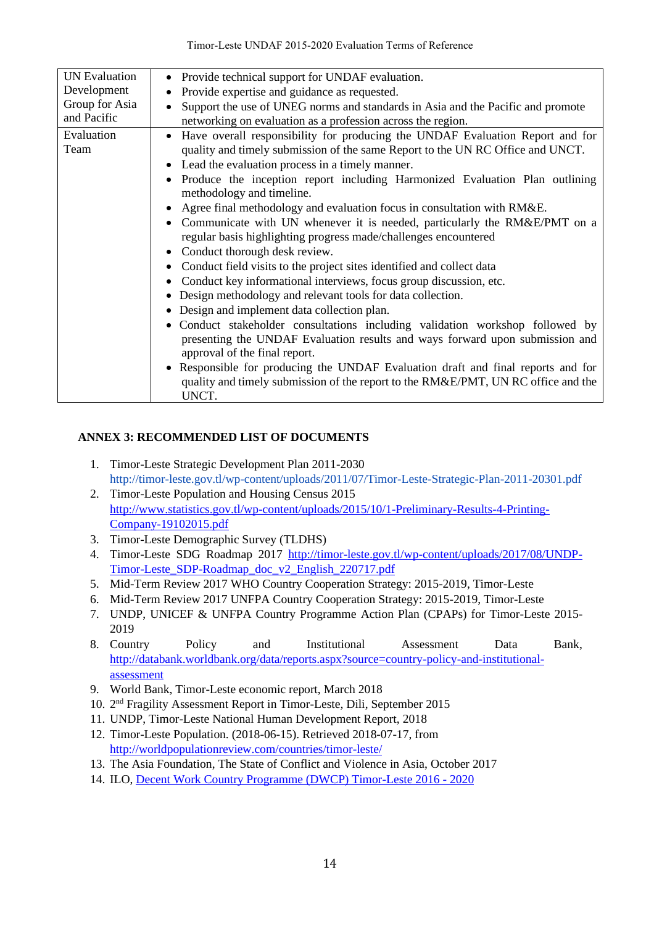| <b>UN</b> Evaluation | • Provide technical support for UNDAF evaluation.                                                                                                                                                                                                                                                                                                                                                                                                                                                                                                                                                                                                                                                                                                                                                                                                                                                                                                                                                                                                                                                                                                                                                                                               |
|----------------------|-------------------------------------------------------------------------------------------------------------------------------------------------------------------------------------------------------------------------------------------------------------------------------------------------------------------------------------------------------------------------------------------------------------------------------------------------------------------------------------------------------------------------------------------------------------------------------------------------------------------------------------------------------------------------------------------------------------------------------------------------------------------------------------------------------------------------------------------------------------------------------------------------------------------------------------------------------------------------------------------------------------------------------------------------------------------------------------------------------------------------------------------------------------------------------------------------------------------------------------------------|
| Development          | Provide expertise and guidance as requested.                                                                                                                                                                                                                                                                                                                                                                                                                                                                                                                                                                                                                                                                                                                                                                                                                                                                                                                                                                                                                                                                                                                                                                                                    |
| Group for Asia       | Support the use of UNEG norms and standards in Asia and the Pacific and promote                                                                                                                                                                                                                                                                                                                                                                                                                                                                                                                                                                                                                                                                                                                                                                                                                                                                                                                                                                                                                                                                                                                                                                 |
| and Pacific          | networking on evaluation as a profession across the region.                                                                                                                                                                                                                                                                                                                                                                                                                                                                                                                                                                                                                                                                                                                                                                                                                                                                                                                                                                                                                                                                                                                                                                                     |
| Evaluation<br>Team   | • Have overall responsibility for producing the UNDAF Evaluation Report and for<br>quality and timely submission of the same Report to the UN RC Office and UNCT.<br>• Lead the evaluation process in a timely manner.<br>Produce the inception report including Harmonized Evaluation Plan outlining<br>methodology and timeline.<br>Agree final methodology and evaluation focus in consultation with RM&E.<br>Communicate with UN whenever it is needed, particularly the RM&E/PMT on a<br>regular basis highlighting progress made/challenges encountered<br>Conduct thorough desk review.<br>• Conduct field visits to the project sites identified and collect data<br>Conduct key informational interviews, focus group discussion, etc.<br>Design methodology and relevant tools for data collection.<br>Design and implement data collection plan.<br>· Conduct stakeholder consultations including validation workshop followed by<br>presenting the UNDAF Evaluation results and ways forward upon submission and<br>approval of the final report.<br>• Responsible for producing the UNDAF Evaluation draft and final reports and for<br>quality and timely submission of the report to the RM&E/PMT, UN RC office and the<br>UNCT. |

# **ANNEX 3: RECOMMENDED LIST OF DOCUMENTS**

- 1. Timor-Leste Strategic Development Plan 2011-2030 http://timor-leste.gov.tl/wp-content/uploads/2011/07/Timor-Leste-Strategic-Plan-2011-20301.pdf
- 2. Timor-Leste Population and Housing Census 2015 [http://www.statistics.gov.tl/wp-content/uploads/2015/10/1-Preliminary-Results-4-Printing-](http://www.statistics.gov.tl/wp-content/uploads/2015/10/1-Preliminary-Results-4-Printing-Company-19102015.pdf)[Company-19102015.pdf](http://www.statistics.gov.tl/wp-content/uploads/2015/10/1-Preliminary-Results-4-Printing-Company-19102015.pdf)
- 3. Timor-Leste Demographic Survey (TLDHS)
- 4. Timor-Leste SDG Roadmap 2017 [http://timor-leste.gov.tl/wp-content/uploads/2017/08/UNDP-](http://timor-leste.gov.tl/wp-content/uploads/2017/08/UNDP-Timor-Leste_SDP-Roadmap_doc_v2_English_220717.pdf)[Timor-Leste\\_SDP-Roadmap\\_doc\\_v2\\_English\\_220717.pdf](http://timor-leste.gov.tl/wp-content/uploads/2017/08/UNDP-Timor-Leste_SDP-Roadmap_doc_v2_English_220717.pdf)
- 5. Mid-Term Review 2017 WHO Country Cooperation Strategy: 2015-2019, Timor-Leste
- 6. Mid-Term Review 2017 UNFPA Country Cooperation Strategy: 2015-2019, Timor-Leste
- 7. UNDP, UNICEF & UNFPA Country Programme Action Plan (CPAPs) for Timor-Leste 2015- 2019
- 8. Country Policy and Institutional Assessment Data Bank, [http://databank.worldbank.org/data/reports.aspx?source=country-policy-and-institutional](http://databank.worldbank.org/data/reports.aspx?source=country-policy-and-institutional-assessment)[assessment](http://databank.worldbank.org/data/reports.aspx?source=country-policy-and-institutional-assessment)
- 9. World Bank, Timor-Leste economic report, March 2018
- 10. 2 nd Fragility Assessment Report in Timor-Leste, Dili, September 2015
- 11. UNDP, Timor-Leste National Human Development Report, 2018
- 12. Timor-Leste Population. (2018-06-15). Retrieved 2018-07-17, from <http://worldpopulationreview.com/countries/timor-leste/>
- 13. The Asia Foundation, The State of Conflict and Violence in Asia, October 2017
- 14. ILO, [Decent Work Country Programme \(DWCP\) Timor-Leste 2016 -](http://www.ilo.org/wcmsp5/groups/public/---asia/---ro-bangkok/---ilo-jakarta/documents/publication/wcms_505116.pdf) 2020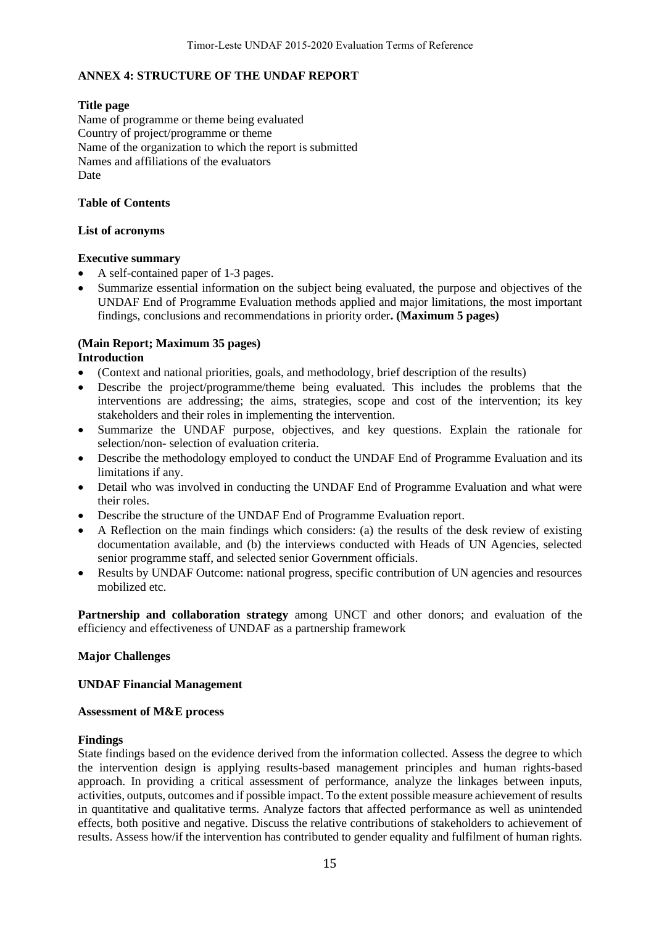## **ANNEX 4: STRUCTURE OF THE UNDAF REPORT**

### **Title page**

Name of programme or theme being evaluated Country of project/programme or theme Name of the organization to which the report is submitted Names and affiliations of the evaluators Date

### **Table of Contents**

### **List of acronyms**

### **Executive summary**

- A self-contained paper of 1-3 pages.
- Summarize essential information on the subject being evaluated, the purpose and objectives of the UNDAF End of Programme Evaluation methods applied and major limitations, the most important findings, conclusions and recommendations in priority order**. (Maximum 5 pages)**

#### **(Main Report; Maximum 35 pages) Introduction**

- (Context and national priorities, goals, and methodology, brief description of the results)
- Describe the project/programme/theme being evaluated. This includes the problems that the interventions are addressing; the aims, strategies, scope and cost of the intervention; its key stakeholders and their roles in implementing the intervention.
- Summarize the UNDAF purpose, objectives, and key questions. Explain the rationale for selection/non- selection of evaluation criteria.
- Describe the methodology employed to conduct the UNDAF End of Programme Evaluation and its limitations if any.
- Detail who was involved in conducting the UNDAF End of Programme Evaluation and what were their roles.
- Describe the structure of the UNDAF End of Programme Evaluation report.
- A Reflection on the main findings which considers: (a) the results of the desk review of existing documentation available, and (b) the interviews conducted with Heads of UN Agencies, selected senior programme staff, and selected senior Government officials.
- Results by UNDAF Outcome: national progress, specific contribution of UN agencies and resources mobilized etc.

**Partnership and collaboration strategy** among UNCT and other donors; and evaluation of the efficiency and effectiveness of UNDAF as a partnership framework

## **Major Challenges**

## **UNDAF Financial Management**

#### **Assessment of M&E process**

#### **Findings**

State findings based on the evidence derived from the information collected. Assess the degree to which the intervention design is applying results-based management principles and human rights-based approach. In providing a critical assessment of performance, analyze the linkages between inputs, activities, outputs, outcomes and if possible impact. To the extent possible measure achievement of results in quantitative and qualitative terms. Analyze factors that affected performance as well as unintended effects, both positive and negative. Discuss the relative contributions of stakeholders to achievement of results. Assess how/if the intervention has contributed to gender equality and fulfilment of human rights.